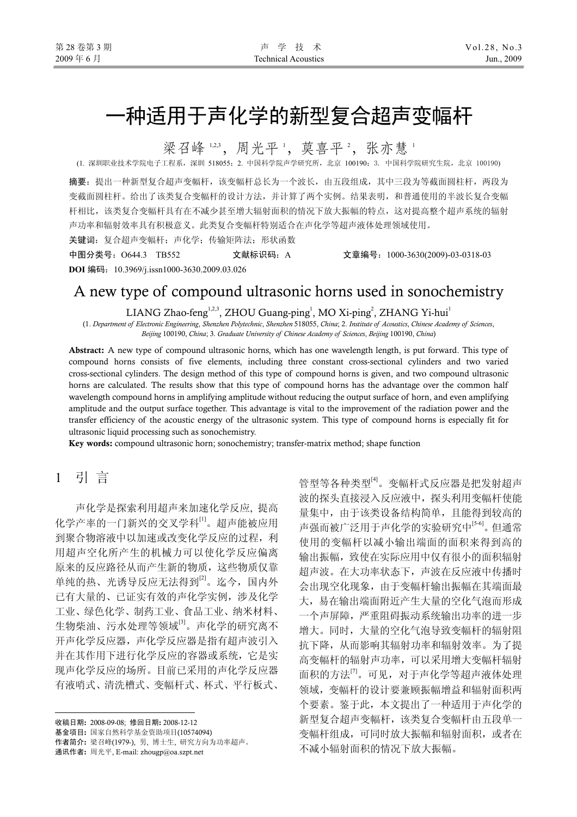# 一种适用于声化学的新型复合超声变幅杆

梁召峰 123, 周光平 ', 莫喜平 ', 张亦慧 '

(1. 深圳职业技术学院电子工程系,深圳 518055;2. 中国科学院声学研究所,北京 100190;3. 中国科学院研究生院,北京 100190)

摘要:提出一种新型复合超声变幅杆,该变幅杆总长为一个波长,由五段组成,其中三段为等截面圆柱杆,两段为 变截面圆柱杆。给出了该类复合变幅杆的设计方法,并计算了两个实例。结果表明,和普通使用的半波长复合变幅 杆相比,该类复合变幅杆具有在不减少甚至增大辐射面积的情况下放大振幅的特点,这对提高整个超声系统的辐射 声功率和辐射效率具有积极意义。此类复合变幅杆特别适合在声化学等超声液体处理领域使用。

关键词:复合超声变幅杆;声化学;传输矩阵法;形状函数

中图分类号:O644.3 TB552 文献标识码:A 文章编号:1000-3630(2009)-03-0318-03 **DOI** 编码:10.3969/j.issn1000-3630.2009.03.026

## A new type of compound ultrasonic horns used in sonochemistry

LIANG Zhao-feng<sup>1,2,3</sup>, ZHOU Guang-ping<sup>1</sup>, MO Xi-ping<sup>2</sup>, ZHANG Yi-hui<sup>1</sup>

(1. *Department of Electronic Engineering*, *Shenzhen Polytechnic*, *Shenzhen* 518055, *China*; 2. *Institute of Acoustics*, *Chinese Academy of Sciences*, *Beijing* 100190, *China*; 3*. Graduate University of Chinese Academy of Sciences*, *Beijing* 100190, *China*)

**Abstract:** A new type of compound ultrasonic horns, which has one wavelength length, is put forward. This type of compound horns consists of five elements, including three constant cross-sectional cylinders and two varied cross-sectional cylinders. The design method of this type of compound horns is given, and two compound ultrasonic horns are calculated. The results show that this type of compound horns has the advantage over the common half wavelength compound horns in amplifying amplitude without reducing the output surface of horn, and even amplifying amplitude and the output surface together. This advantage is vital to the improvement of the radiation power and the transfer efficiency of the acoustic energy of the ultrasonic system. This type of compound horns is especially fit for ultrasonic liquid processing such as sonochemistry.

**Key words:** compound ultrasonic horn; sonochemistry; transfer-matrix method; shape function

1 引 言

 $\overline{a}$ 

声化学是探索利用超声来加速化学反应, 提高 化学产率的一门新兴的交叉学科[1]。超声能被应用 到聚合物溶液中以加速或改变化学反应的过程,利 用超声空化所产生的机械力可以使化学反应偏离 原来的反应路径从而产生新的物质,这些物质仅靠 单纯的热、光诱导反应无法得到[2]。迄今,国内外 已有大量的、已证实有效的声化学实例,涉及化学 工业、绿色化学、制药工业、食品工业、纳米材料、 生物柴油、污水处理等领域[3]。声化学的研究离不 开声化学反应器,声化学反应器是指有超声波引入 并在其作用下进行化学反应的容器或系统,它是实 现声化学反应的场所。目前已采用的声化学反应器 有液哨式、清洗槽式、变幅杆式、杯式、平行板式、

收稿日期**:** 2008-09-08; 修回日期**:** 2008-12-12 基金项目**:** 国家自然科学基金资助项目(10574094) 作者简介**:** 梁召峰(1979-), 男, 博士生, 研究方向为功率超声。

通讯作者**:** 周光平, E-mail: zhougp@oa.szpt.net

管型等各种类型[4]。变幅杆式反应器是把发射超声 波的探头直接浸入反应液中,探头利用变幅杆使能 量集中,由于该类设备结构简单,且能得到较高的 声强而被广泛用于声化学的实验研究中[5-6]。但通常 使用的变幅杆以减小输出端面的面积来得到高的 输出振幅,致使在实际应用中仅有很小的面积辐射 超声波。在大功率状态下,声波在反应液中传播时 会出现空化现象,由于变幅杆输出振幅在其端面最 大,易在输出端面附近产生大量的空化气泡而形成 一个声屏障,严重阻碍振动系统输出功率的进一步 增大。同时,大量的空化气泡导致变幅杆的辐射阻 抗下降,从而影响其辐射功率和辐射效率。为了提 高变幅杆的辐射声功率,可以采用增大变幅杆辐射 面积的方法[7]。可见,对于声化学等超声液体处理 领域,变幅杆的设计要兼顾振幅增益和辐射面积两 个要素。鉴于此,本文提出了一种适用于声化学的 新型复合超声变幅杆,该类复合变幅杆由五段单一 变幅杆组成,可同时放大振幅和辐射面积,或者在 不减小辐射面积的情况下放大振幅。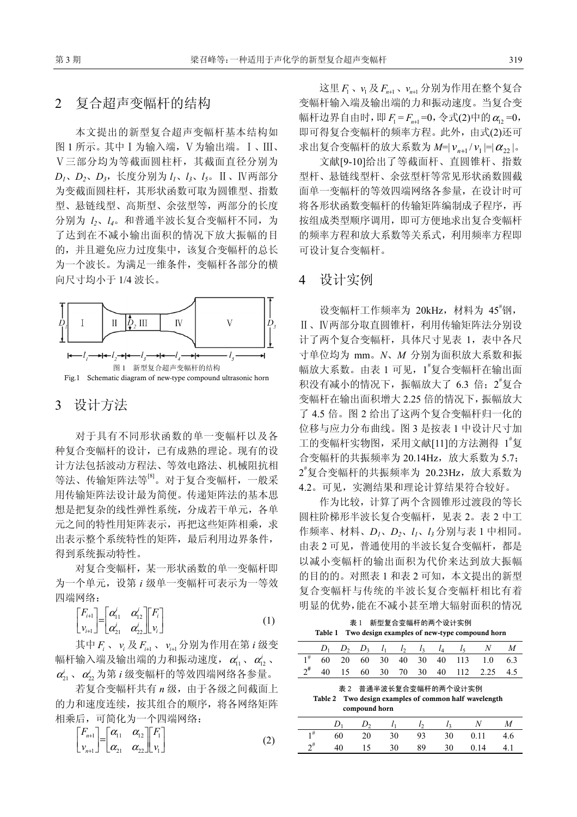### 2复合超声变幅杆的结构

本文提出的新型复合超声变幅杆基本结构如 图 1 所示。其中Ⅰ为输入端,Ⅴ为输出端。Ⅰ、Ⅲ、 Ⅴ三部分均为等截面圆柱杆,其截面直径分别为 *D1*、*D2*、*D3*,长度分别为 *l1*、*l3*、*l5*。Ⅱ、Ⅳ两部分 为变截面圆柱杆,其形状函数可取为圆锥型、指数 型、悬链线型、高斯型、余弦型等,两部分的长度 分别为 *l2*、*l4*。和普通半波长复合变幅杆不同,为 了达到在不减小输出面积的情况下放大振幅的目 的,并且避免应力过度集中,该复合变幅杆的总长 为一个波长。为满足一维条件,变幅杆各部分的横 向尺寸均小于 1/4 波长。



#### 3 设计方法

对于具有不同形状函数的单一变幅杆以及各 种复合变幅杆的设计,已有成熟的理论。现有的设 计方法包括波动方程法、等效电路法、机械阻抗相 等法、传输矩阵法等[8]。对于复合变幅杆,一般采 用传输矩阵法设计最为简便。传递矩阵法的基本思 想是把复杂的线性弹性系统,分成若干单元,各单 元之间的特性用矩阵表示,再把这些矩阵相乘,求 出表示整个系统特性的矩阵,最后利用边界条件, 得到系统振动特性。

对复合变幅杆,某一形状函数的单一变幅杆即 为一个单元,设第 *i* 级单一变幅杆可表示为一等效 四端网络:

$$
\begin{bmatrix} F_{i+1} \\ v_{i+1} \end{bmatrix} = \begin{bmatrix} \alpha'_{11} & \alpha'_{12} \\ \alpha'_{21} & \alpha'_{22} \end{bmatrix} \begin{bmatrix} F_i \\ v_i \end{bmatrix}
$$
 (1)

其中 *F<sub>i</sub>* 、 *v<sub>i</sub> 及 F<sub>i+1</sub> 、 ν<sub>i+1</sub> 分别为作用在第 <i>i* 级变 幅杆输入端及输出端的力和振动速度, $\alpha'_{11}$ 、 $\alpha'_{12}$ 、  $\alpha_{\scriptscriptstyle 21}^{\scriptscriptstyle j}$ 、 $\alpha_{\scriptscriptstyle 22}^{\scriptscriptstyle j}$ 为第 *i* 级变幅杆的等效四端网络各参量。

若复合变幅杆共有 *n* 级,由于各级之间截面上 的力和速度连续,按其组合的顺序,将各网络矩阵 相乘后,可简化为一个四端网络:

$$
\begin{bmatrix} F_{n+1} \\ v_{n+1} \end{bmatrix} = \begin{bmatrix} \alpha_{11} & \alpha_{12} \\ \alpha_{21} & \alpha_{22} \end{bmatrix} \begin{bmatrix} F_1 \\ v_1 \end{bmatrix}
$$
 (2)

这里 *F*<sub>1</sub>、 γ<sub>*F<sub>n+1</sub>、 ν<sub>n+1</sub> 分别为作用在整个复合</sub>* 变幅杆输入端及输出端的力和振动速度。当复合变 幅杆边界自由时, 即  $F_1 = F_{n+1} = 0$ , 令式(2)中的 α<sub>12</sub> = 0, 即可得复合变幅杆的频率方程。此外,由式(2)还可 求出复合变幅杆的放大系数为  $M=|v_{n+1}/v_1| = |\alpha_{22}|$ 。

文献[9-10]给出了等截面杆、直圆锥杆、指数 型杆、悬链线型杆、余弦型杆等常见形状函数圆截 面单一变幅杆的等效四端网络各参量,在设计时可 将各形状函数变幅杆的传输矩阵编制成子程序,再 按组成类型顺序调用,即可方便地求出复合变幅杆 的频率方程和放大系数等关系式,利用频率方程即 可设计复合变幅杆。

#### 4 设计实例

设变幅杆工作频率为 20kHz, 材料为 45 知, Ⅱ、Ⅳ两部分取直圆锥杆,利用传输矩阵法分别设 计了两个复合变幅杆,具体尺寸见表 1,表中各尺 寸单位均为 mm。*N*、*M* 分别为面积放大系数和振 幅放大系数。由表 1 可见,1 # 复合变幅杆在输出面 积没有减小的情况下,振幅放大了 6.3 倍; 2 复合 变幅杆在输出面积增大 2.25 倍的情况下,振幅放大 了 4.5 倍。图 2 给出了这两个复合变幅杆归一化的 位移与应力分布曲线。图 3 是按表 1 中设计尺寸加 工的变幅杆实物图,采用文献[11]的方法测得 1 "复 合变幅杆的共振频率为 20.14Hz, 放大系数为 5.7; 2 # 复合变幅杆的共振频率为 20.23Hz,放大系数为 4.2。可见,实测结果和理论计算结果符合较好。

作为比较,计算了两个含圆锥形过渡段的等长 圆柱阶梯形半波长复合变幅杆,见表 2。表 2 中工 作频率、材料、*D1*、*D2*、*l1*、*l3* 分别与表 1 中相同。 由表 2 可见,普通使用的半波长复合变幅杆,都是 以减小变幅杆的输出面积为代价来达到放大振幅 的目的的。对照表 1 和表 2 可知, 本文提出的新型 复合变幅杆与传统的半波长复合变幅杆相比有着 明显的优势,能在不减小甚至增大辐射面积的情况

表 1 新型复合变幅杆的两个设计实例 **Table 1 Two design examples of new-type compound horn** 

|  |                                                      |  |  |  |  |  | $D_1$ $D_2$ $D_3$ $l_1$ $l_2$ $l_3$ $l_4$ $l_5$ N M |  |
|--|------------------------------------------------------|--|--|--|--|--|-----------------------------------------------------|--|
|  |                                                      |  |  |  |  |  | $1^{\#}$ 60 20 60 30 40 30 40 113 1.0 6.3           |  |
|  |                                                      |  |  |  |  |  | $2^{\#}$ 40 15 60 30 70 30 40 112 2.25 4.5          |  |
|  | 士 ^   米 ** 业 ** 14 右 人 ** ** ** ** ** ** ** ** ** ** |  |  |  |  |  |                                                     |  |

表 2 普通半波长复合变幅杆的两个设计实例

**Table 2 Two design examples of common half wavelength compound horn** 

|  |  |  | $D_1$ $D_2$ $l_1$ $l_2$ $l_3$ N M |  |
|--|--|--|-----------------------------------|--|
|  |  |  | $1^{\#}$ 60 20 30 93 30 0.11 4.6  |  |
|  |  |  | $2^{\#}$ 40 15 30 89 30 0.14 4.1  |  |